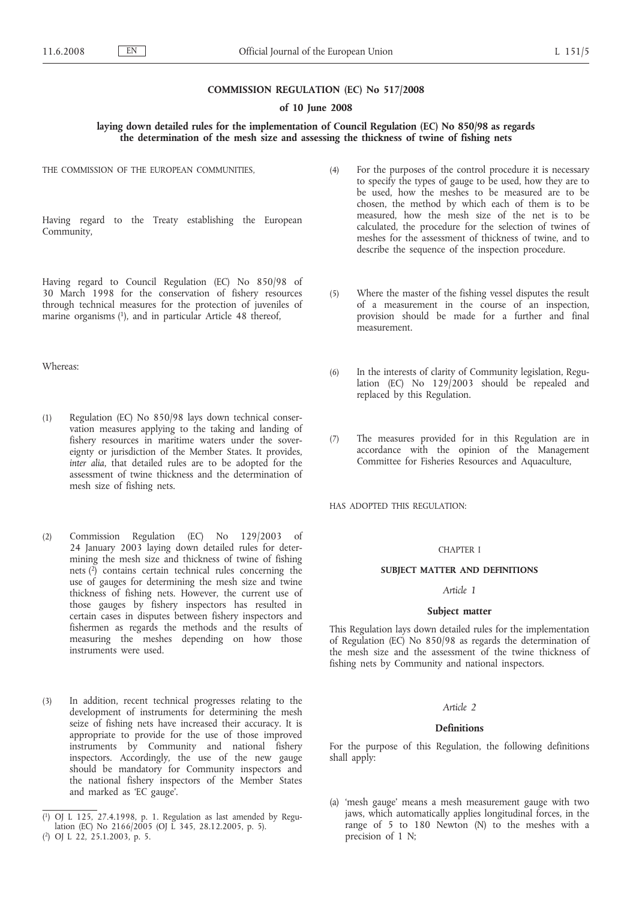# **COMMISSION REGULATION (EC) No 517/2008**

#### **of 10 June 2008**

# **laying down detailed rules for the implementation of Council Regulation (EC) No 850/98 as regards the determination of the mesh size and assessing the thickness of twine of fishing nets**

THE COMMISSION OF THE EUROPEAN COMMUNITIES,

Having regard to the Treaty establishing the European Community,

Having regard to Council Regulation (EC) No 850/98 of 30 March 1998 for the conservation of fishery resources through technical measures for the protection of juveniles of marine organisms (1), and in particular Article 48 thereof,

Whereas:

- (1) Regulation (EC) No 850/98 lays down technical conservation measures applying to the taking and landing of fishery resources in maritime waters under the sovereignty or jurisdiction of the Member States. It provides, *inter alia*, that detailed rules are to be adopted for the assessment of twine thickness and the determination of mesh size of fishing nets.
- (2) Commission Regulation (EC) No 129/2003 of 24 January 2003 laying down detailed rules for determining the mesh size and thickness of twine of fishing nets  $(2)$  contains certain technical rules concerning the use of gauges for determining the mesh size and twine thickness of fishing nets. However, the current use of those gauges by fishery inspectors has resulted in certain cases in disputes between fishery inspectors and fishermen as regards the methods and the results of measuring the meshes depending on how those instruments were used.
- (3) In addition, recent technical progresses relating to the development of instruments for determining the mesh seize of fishing nets have increased their accuracy. It is appropriate to provide for the use of those improved instruments by Community and national fishery inspectors. Accordingly, the use of the new gauge should be mandatory for Community inspectors and the national fishery inspectors of the Member States and marked as 'EC gauge'.
- (4) For the purposes of the control procedure it is necessary to specify the types of gauge to be used, how they are to be used, how the meshes to be measured are to be chosen, the method by which each of them is to be measured, how the mesh size of the net is to be calculated, the procedure for the selection of twines of meshes for the assessment of thickness of twine, and to describe the sequence of the inspection procedure.
- (5) Where the master of the fishing vessel disputes the result of a measurement in the course of an inspection, provision should be made for a further and final measurement.
- (6) In the interests of clarity of Community legislation, Regulation (EC) No  $129/2003$  should be repealed and replaced by this Regulation.
- (7) The measures provided for in this Regulation are in accordance with the opinion of the Management Committee for Fisheries Resources and Aquaculture,

HAS ADOPTED THIS REGULATION:

## CHAPTER I

#### **SUBJECT MATTER AND DEFINITIONS**

# *Article 1*

#### **Subject matter**

This Regulation lays down detailed rules for the implementation of Regulation (EC) No 850/98 as regards the determination of the mesh size and the assessment of the twine thickness of fishing nets by Community and national inspectors.

#### *Article 2*

#### **Definitions**

For the purpose of this Regulation, the following definitions shall apply:

(a) 'mesh gauge' means a mesh measurement gauge with two jaws, which automatically applies longitudinal forces, in the range of 5 to 180 Newton (N) to the meshes with a precision of 1 N;

 $(1)$ 1) OJ L 125, 27.4.1998, p. 1. Regulation as last amended by Regulation (EC) No 2166/2005 (OJ L 345, 28.12.2005, p. 5).

<sup>(</sup> 2) OJ L 22, 25.1.2003, p. 5.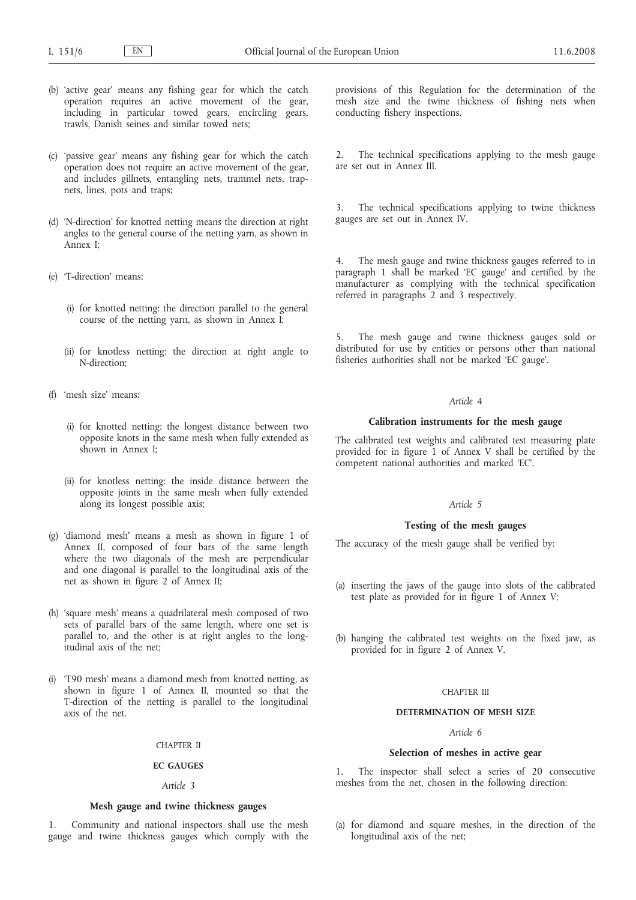- (b) 'active gear' means any fishing gear for which the catch operation requires an active movement of the gear, including in particular towed gears, encircling gears, trawls, Danish seines and similar towed nets;
- (c) 'passive gear' means any fishing gear for which the catch operation does not require an active movement of the gear, and includes gillnets, entangling nets, trammel nets, trapnets, lines, pots and traps;
- (d) 'N-direction' for knotted netting means the direction at right angles to the general course of the netting yarn, as shown in Annex I;
- (e) 'T-direction' means:
	- (i) for knotted netting: the direction parallel to the general course of the netting yarn, as shown in Annex I;
	- (ii) for knotless netting: the direction at right angle to N-direction;
- (f) 'mesh size' means:
	- (i) for knotted netting: the longest distance between two opposite knots in the same mesh when fully extended as shown in Annex I;
	- (ii) for knotless netting: the inside distance between the opposite joints in the same mesh when fully extended along its longest possible axis;
- (g) 'diamond mesh' means a mesh as shown in figure 1 of Annex II, composed of four bars of the same length where the two diagonals of the mesh are perpendicular and one diagonal is parallel to the longitudinal axis of the net as shown in figure 2 of Annex II;
- (h) 'square mesh' means a quadrilateral mesh composed of two sets of parallel bars of the same length, where one set is parallel to, and the other is at right angles to the longitudinal axis of the net;
- (i) 'T90 mesh' means a diamond mesh from knotted netting, as shown in figure 1 of Annex II, mounted so that the T-direction of the netting is parallel to the longitudinal axis of the net.

## CHAPTER II

# **EC GAUGES**

#### *Article 3*

## **Mesh gauge and twine thickness gauges**

Community and national inspectors shall use the mesh gauge and twine thickness gauges which comply with the

provisions of this Regulation for the determination of the mesh size and the twine thickness of fishing nets when conducting fishery inspections.

2. The technical specifications applying to the mesh gauge are set out in Annex III.

The technical specifications applying to twine thickness gauges are set out in Annex IV.

The mesh gauge and twine thickness gauges referred to in paragraph 1 shall be marked 'EC gauge' and certified by the manufacturer as complying with the technical specification referred in paragraphs 2 and 3 respectively.

5. The mesh gauge and twine thickness gauges sold or distributed for use by entities or persons other than national fisheries authorities shall not be marked 'EC gauge'.

#### *Article 4*

#### **Calibration instruments for the mesh gauge**

The calibrated test weights and calibrated test measuring plate provided for in figure 1 of Annex V shall be certified by the competent national authorities and marked 'EC'.

# *Article 5*

# **Testing of the mesh gauges**

The accuracy of the mesh gauge shall be verified by:

- (a) inserting the jaws of the gauge into slots of the calibrated test plate as provided for in figure 1 of Annex V;
- (b) hanging the calibrated test weights on the fixed jaw, as provided for in figure 2 of Annex V.

#### CHAPTER III

### **DETERMINATION OF MESH SIZE**

# *Article 6*

# **Selection of meshes in active gear**

1. The inspector shall select a series of 20 consecutive meshes from the net, chosen in the following direction:

(a) for diamond and square meshes, in the direction of the longitudinal axis of the net;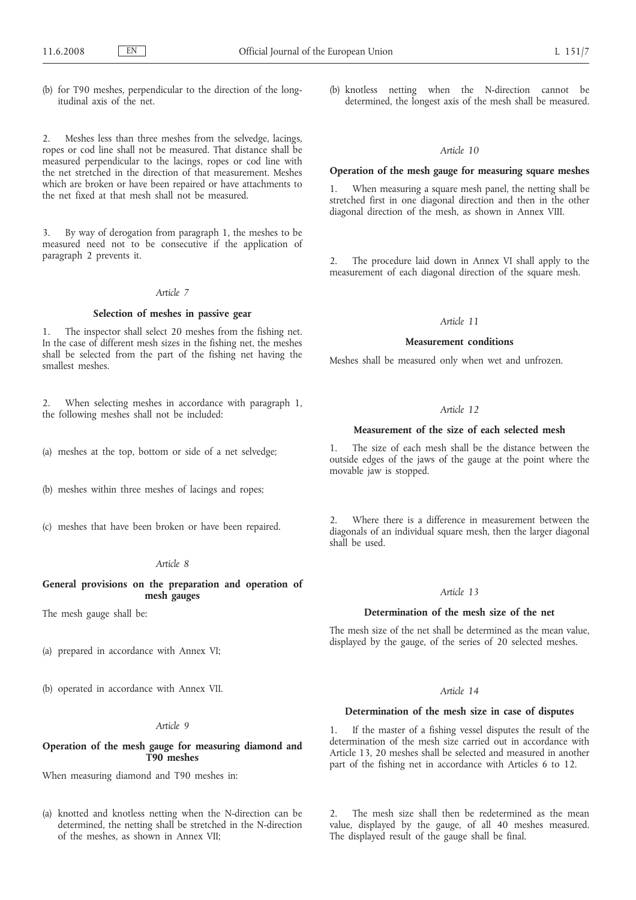(b) for T90 meshes, perpendicular to the direction of the longitudinal axis of the net.

2. Meshes less than three meshes from the selvedge, lacings, ropes or cod line shall not be measured. That distance shall be measured perpendicular to the lacings, ropes or cod line with the net stretched in the direction of that measurement. Meshes which are broken or have been repaired or have attachments to the net fixed at that mesh shall not be measured.

By way of derogation from paragraph 1, the meshes to be measured need not to be consecutive if the application of paragraph 2 prevents it.

## *Article 7*

# **Selection of meshes in passive gear**

1. The inspector shall select 20 meshes from the fishing net. In the case of different mesh sizes in the fishing net, the meshes shall be selected from the part of the fishing net having the smallest meshes.

2. When selecting meshes in accordance with paragraph 1, the following meshes shall not be included:

- (a) meshes at the top, bottom or side of a net selvedge;
- (b) meshes within three meshes of lacings and ropes;
- (c) meshes that have been broken or have been repaired.

#### *Article 8*

# **General provisions on the preparation and operation of mesh gauges**

The mesh gauge shall be:

(a) prepared in accordance with Annex VI;

(b) operated in accordance with Annex VII.

### *Article 9*

# **Operation of the mesh gauge for measuring diamond and T90 meshes**

When measuring diamond and T90 meshes in:

(a) knotted and knotless netting when the N-direction can be determined, the netting shall be stretched in the N-direction of the meshes, as shown in Annex VII;

(b) knotless netting when the N-direction cannot be determined, the longest axis of the mesh shall be measured.

# *Article 10*

# **Operation of the mesh gauge for measuring square meshes**

1. When measuring a square mesh panel, the netting shall be stretched first in one diagonal direction and then in the other diagonal direction of the mesh, as shown in Annex VIII.

2. The procedure laid down in Annex VI shall apply to the measurement of each diagonal direction of the square mesh.

# *Article 11*

## **Measurement conditions**

Meshes shall be measured only when wet and unfrozen.

## *Article 12*

## **Measurement of the size of each selected mesh**

1. The size of each mesh shall be the distance between the outside edges of the jaws of the gauge at the point where the movable jaw is stopped.

Where there is a difference in measurement between the diagonals of an individual square mesh, then the larger diagonal shall be used.

# *Article 13*

#### **Determination of the mesh size of the net**

The mesh size of the net shall be determined as the mean value, displayed by the gauge, of the series of 20 selected meshes.

## *Article 14*

# **Determination of the mesh size in case of disputes**

1. If the master of a fishing vessel disputes the result of the determination of the mesh size carried out in accordance with Article 13, 20 meshes shall be selected and measured in another part of the fishing net in accordance with Articles 6 to 12.

2. The mesh size shall then be redetermined as the mean value, displayed by the gauge, of all 40 meshes measured. The displayed result of the gauge shall be final.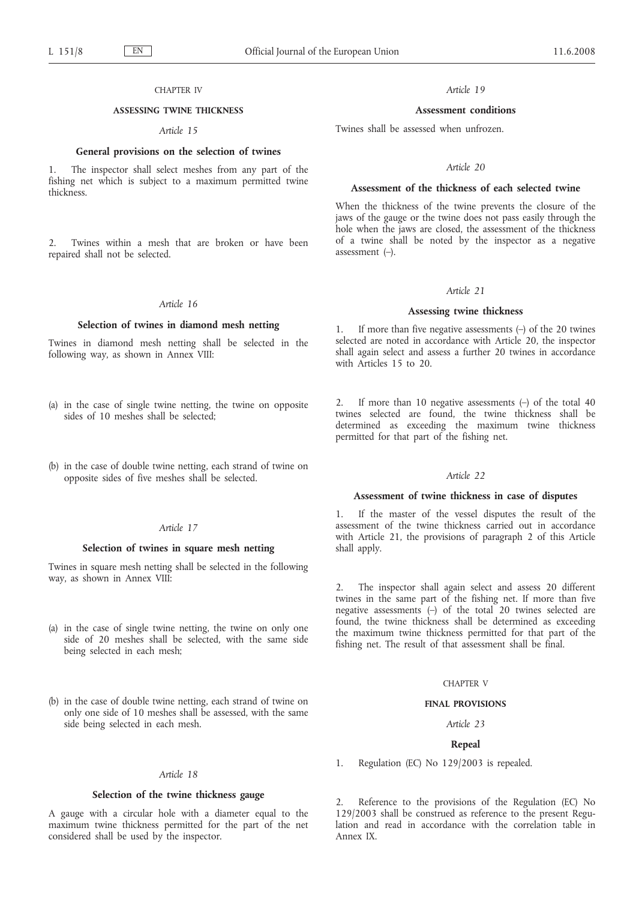#### CHAPTER IV

## **ASSESSING TWINE THICKNESS**

# *Article 15*

# **General provisions on the selection of twines**

1. The inspector shall select meshes from any part of the fishing net which is subject to a maximum permitted twine thickness.

2. Twines within a mesh that are broken or have been repaired shall not be selected.

## *Article 16*

#### **Selection of twines in diamond mesh netting**

Twines in diamond mesh netting shall be selected in the following way, as shown in Annex VIII:

- (a) in the case of single twine netting, the twine on opposite sides of 10 meshes shall be selected;
- (b) in the case of double twine netting, each strand of twine on opposite sides of five meshes shall be selected.

#### *Article 17*

#### **Selection of twines in square mesh netting**

Twines in square mesh netting shall be selected in the following way, as shown in Annex VIII:

- (a) in the case of single twine netting, the twine on only one side of 20 meshes shall be selected, with the same side being selected in each mesh;
- (b) in the case of double twine netting, each strand of twine on only one side of 10 meshes shall be assessed, with the same side being selected in each mesh.

#### *Article 18*

#### **Selection of the twine thickness gauge**

A gauge with a circular hole with a diameter equal to the maximum twine thickness permitted for the part of the net considered shall be used by the inspector.

*Article 19*

#### **Assessment conditions**

Twines shall be assessed when unfrozen.

#### *Article 20*

# **Assessment of the thickness of each selected twine**

When the thickness of the twine prevents the closure of the jaws of the gauge or the twine does not pass easily through the hole when the jaws are closed, the assessment of the thickness of a twine shall be noted by the inspector as a negative assessment (–).

#### *Article 21*

#### **Assessing twine thickness**

If more than five negative assessments  $(-)$  of the 20 twines selected are noted in accordance with Article 20, the inspector shall again select and assess a further 20 twines in accordance with Articles 15 to 20.

2. If more than 10 negative assessments (–) of the total 40 twines selected are found, the twine thickness shall be determined as exceeding the maximum twine thickness permitted for that part of the fishing net.

#### *Article 22*

# **Assessment of twine thickness in case of disputes**

1. If the master of the vessel disputes the result of the assessment of the twine thickness carried out in accordance with Article 21, the provisions of paragraph 2 of this Article shall apply.

The inspector shall again select and assess 20 different twines in the same part of the fishing net. If more than five negative assessments  $(-)$  of the total 20 twines selected are found, the twine thickness shall be determined as exceeding the maximum twine thickness permitted for that part of the fishing net. The result of that assessment shall be final.

#### CHAPTER V

#### **FINAL PROVISIONS**

#### *Article 23*

#### **Repeal**

1. Regulation (EC) No 129/2003 is repealed.

2. Reference to the provisions of the Regulation (EC) No 129/2003 shall be construed as reference to the present Regulation and read in accordance with the correlation table in Annex IX.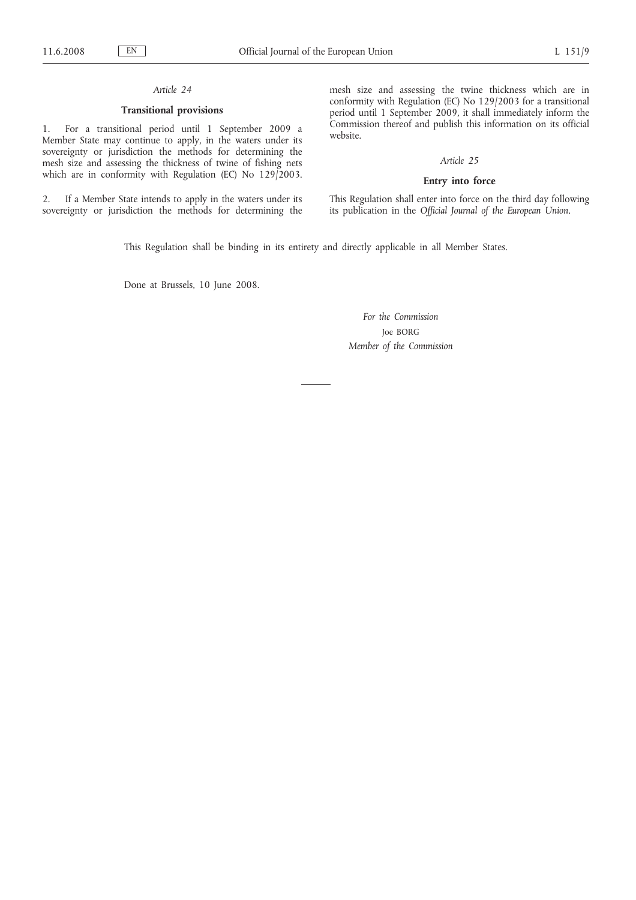# *Article 24*

# **Transitional provisions**

1. For a transitional period until 1 September 2009 a Member State may continue to apply, in the waters under its sovereignty or jurisdiction the methods for determining the mesh size and assessing the thickness of twine of fishing nets which are in conformity with Regulation (EC) No 129/2003.

2. If a Member State intends to apply in the waters under its sovereignty or jurisdiction the methods for determining the mesh size and assessing the twine thickness which are in conformity with Regulation (EC) No 129/2003 for a transitional period until 1 September 2009, it shall immediately inform the Commission thereof and publish this information on its official website.

# *Article 25*

# **Entry into force**

This Regulation shall enter into force on the third day following its publication in the *Official Journal of the European Union*.

This Regulation shall be binding in its entirety and directly applicable in all Member States.

Done at Brussels, 10 June 2008.

*For the Commission* Joe BORG *Member of the Commission*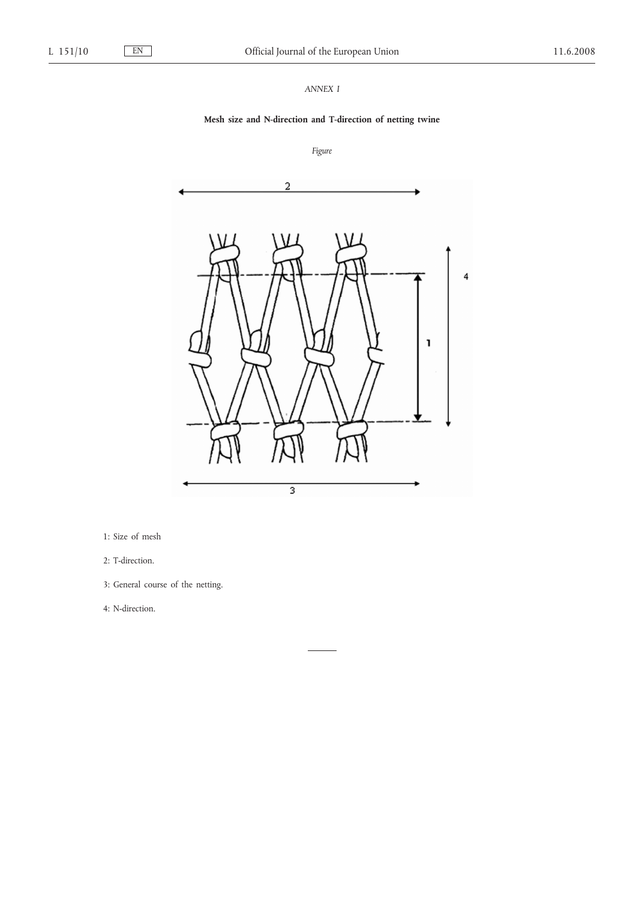# *ANNEX I*

# **Mesh size and N-direction and T-direction of netting twine**

*Figure*



- 1: Size of mesh
- 2: T-direction.
- 3: General course of the netting.

4: N-direction.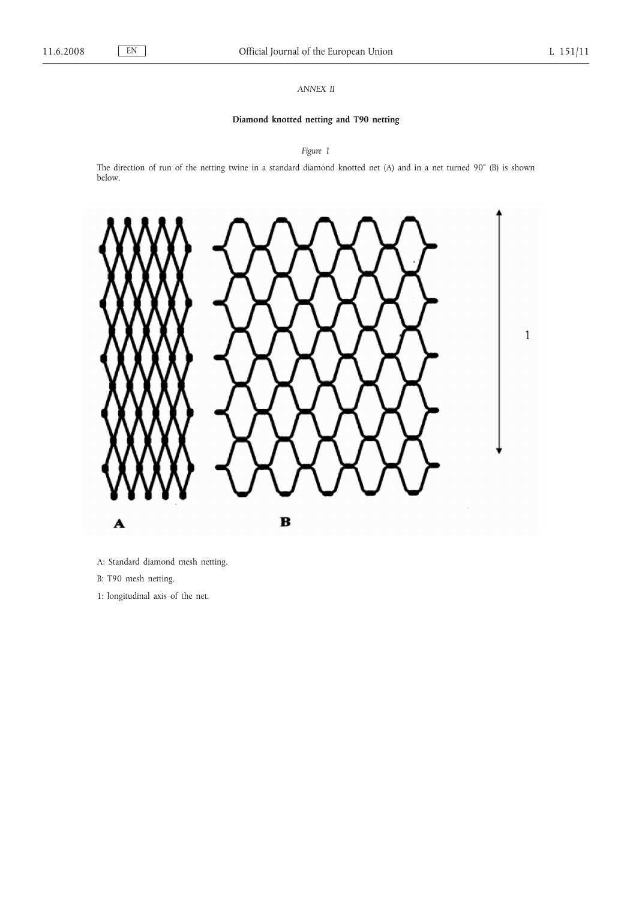# *ANNEX II*

# **Diamond knotted netting and T90 netting**

*Figure 1*

The direction of run of the netting twine in a standard diamond knotted net (A) and in a net turned 90° (B) is shown below.



A: Standard diamond mesh netting.

B: T90 mesh netting.

1: longitudinal axis of the net.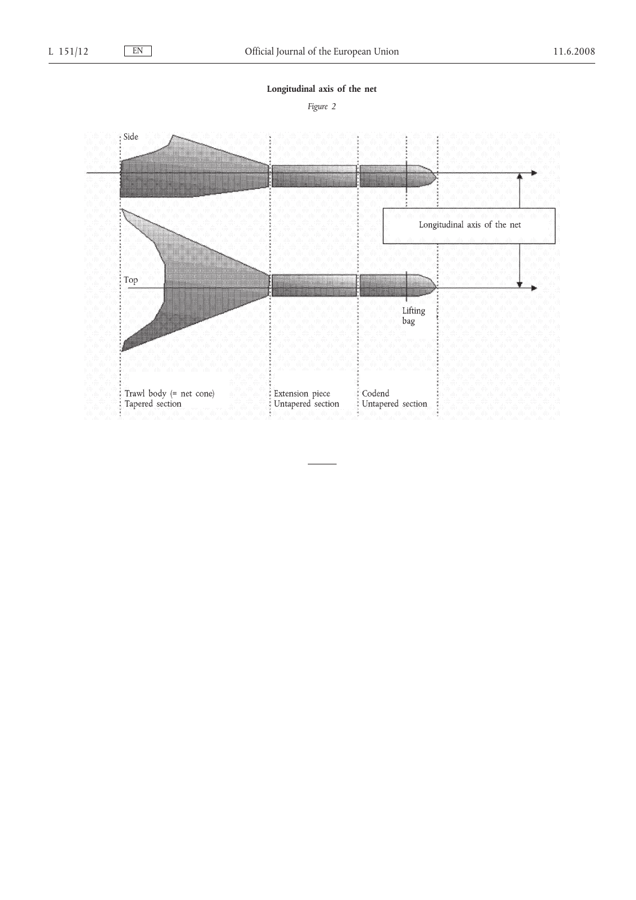**Longitudinal axis of the net**

*Figure 2*

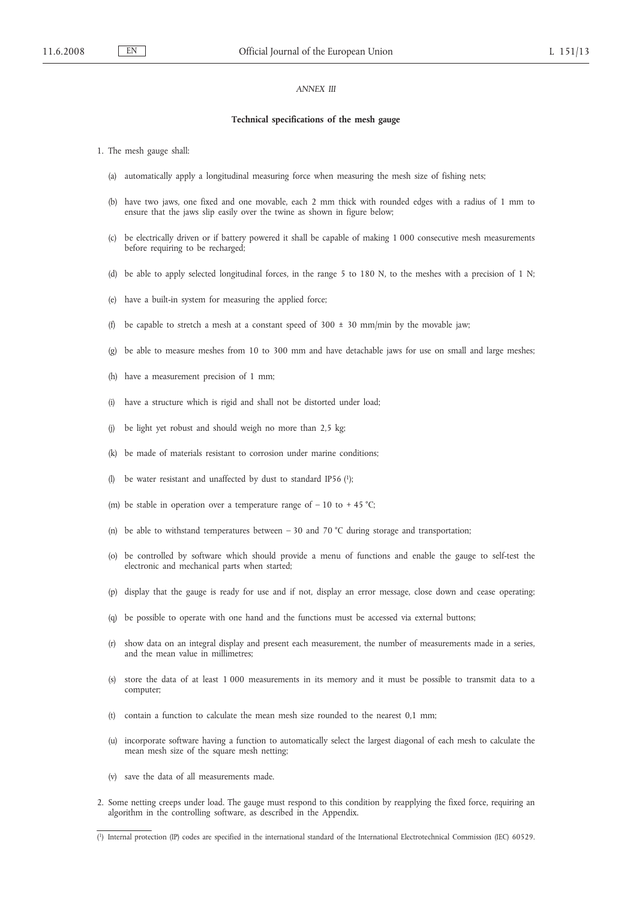## *ANNEX III*

#### **Technical specifications of the mesh gauge**

- 1. The mesh gauge shall:
	- (a) automatically apply a longitudinal measuring force when measuring the mesh size of fishing nets;
	- (b) have two jaws, one fixed and one movable, each 2 mm thick with rounded edges with a radius of 1 mm to ensure that the jaws slip easily over the twine as shown in figure below;
	- (c) be electrically driven or if battery powered it shall be capable of making 1 000 consecutive mesh measurements before requiring to be recharged;
	- (d) be able to apply selected longitudinal forces, in the range 5 to 180 N, to the meshes with a precision of 1 N;
	- (e) have a built-in system for measuring the applied force;
	- (f) be capable to stretch a mesh at a constant speed of  $300 \pm 30$  mm/min by the movable jaw;
	- (g) be able to measure meshes from 10 to 300 mm and have detachable jaws for use on small and large meshes;
	- (h) have a measurement precision of 1 mm;
	- (i) have a structure which is rigid and shall not be distorted under load;
	- (j) be light yet robust and should weigh no more than 2,5 kg;
	- (k) be made of materials resistant to corrosion under marine conditions;
	- (l) be water resistant and unaffected by dust to standard IP56 (1);
	- (m) be stable in operation over a temperature range of  $-10$  to  $+45$  °C;
	- (n) be able to withstand temperatures between  $-30$  and  $70 °C$  during storage and transportation;
	- (o) be controlled by software which should provide a menu of functions and enable the gauge to self-test the electronic and mechanical parts when started;
	- (p) display that the gauge is ready for use and if not, display an error message, close down and cease operating;
	- (q) be possible to operate with one hand and the functions must be accessed via external buttons;
	- (r) show data on an integral display and present each measurement, the number of measurements made in a series, and the mean value in millimetres;
	- (s) store the data of at least 1 000 measurements in its memory and it must be possible to transmit data to a computer;
	- (t) contain a function to calculate the mean mesh size rounded to the nearest 0,1 mm;
	- (u) incorporate software having a function to automatically select the largest diagonal of each mesh to calculate the mean mesh size of the square mesh netting;
	- (v) save the data of all measurements made.
- 2. Some netting creeps under load. The gauge must respond to this condition by reapplying the fixed force, requiring an algorithm in the controlling software, as described in the Appendix.

<sup>(</sup> 1) Internal protection (IP) codes are specified in the international standard of the International Electrotechnical Commission (IEC) 60529.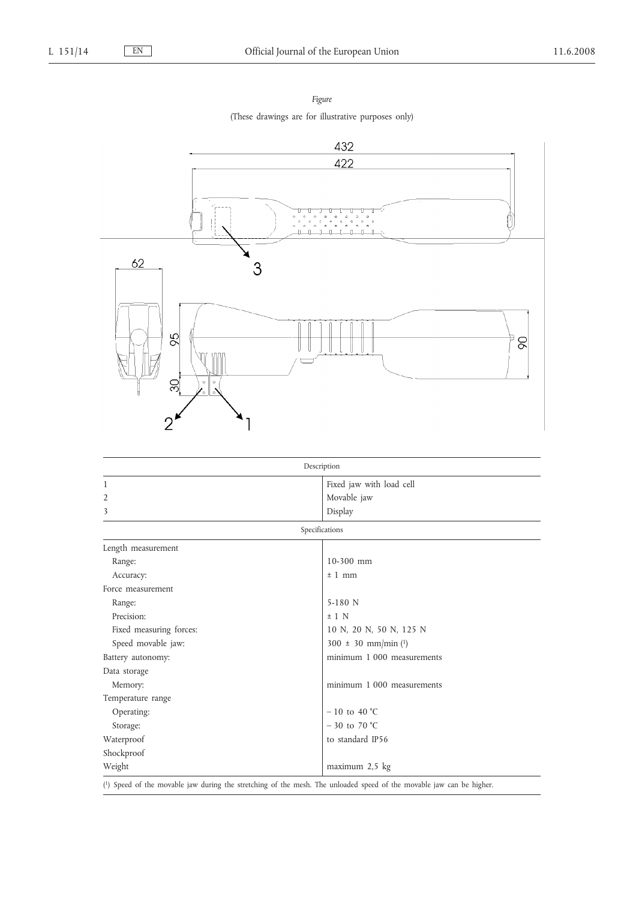*Figure* (These drawings are for illustrative purposes only)



| Description             |                            |  |  |  |  |  |
|-------------------------|----------------------------|--|--|--|--|--|
| 1                       | Fixed jaw with load cell   |  |  |  |  |  |
| $\overline{2}$          | Movable jaw                |  |  |  |  |  |
| 3                       | Display                    |  |  |  |  |  |
| Specifications          |                            |  |  |  |  |  |
| Length measurement      |                            |  |  |  |  |  |
| Range:                  | $10-300$ mm                |  |  |  |  |  |
| Accuracy:               | $±1$ mm                    |  |  |  |  |  |
| Force measurement       |                            |  |  |  |  |  |
| Range:                  | $5-180$ N                  |  |  |  |  |  |
| Precision:              | $±1$ N                     |  |  |  |  |  |
| Fixed measuring forces: | 10 N, 20 N, 50 N, 125 N    |  |  |  |  |  |
| Speed movable jaw:      | $300 \pm 30$ mm/min (1)    |  |  |  |  |  |
| Battery autonomy:       | minimum 1 000 measurements |  |  |  |  |  |
| Data storage            |                            |  |  |  |  |  |
| Memory:                 | minimum 1 000 measurements |  |  |  |  |  |
| Temperature range       |                            |  |  |  |  |  |
| Operating:              | $-10$ to 40 °C             |  |  |  |  |  |
| Storage:                | $-30$ to 70 °C             |  |  |  |  |  |
| Waterproof              | to standard IP56           |  |  |  |  |  |
| Shockproof              |                            |  |  |  |  |  |
| Weight                  | maximum 2,5 kg             |  |  |  |  |  |

( 1) Speed of the movable jaw during the stretching of the mesh. The unloaded speed of the movable jaw can be higher.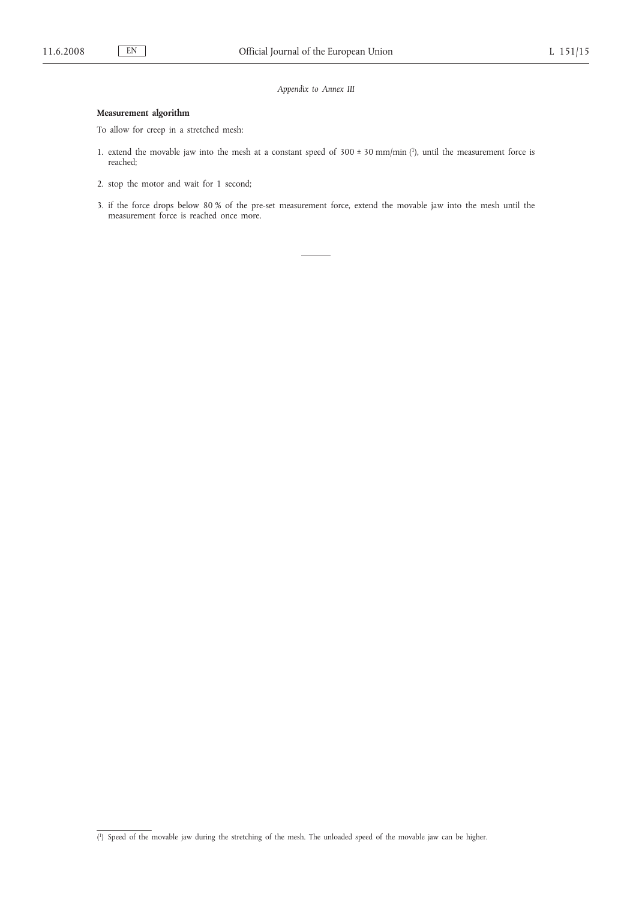*Appendix to Annex III*

# **Measurement algorithm**

To allow for creep in a stretched mesh:

- 1. extend the movable jaw into the mesh at a constant speed of  $300 \pm 30$  mm/min (1), until the measurement force is reached;
- 2. stop the motor and wait for 1 second;
- 3. if the force drops below 80 % of the pre-set measurement force, extend the movable jaw into the mesh until the measurement force is reached once more.

<sup>(</sup> 1) Speed of the movable jaw during the stretching of the mesh. The unloaded speed of the movable jaw can be higher.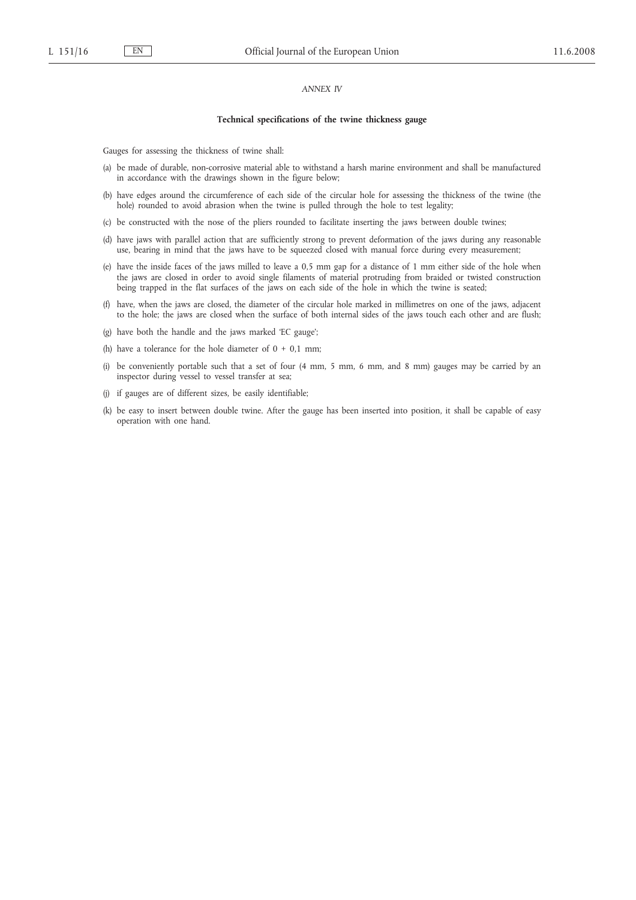#### *ANNEX IV*

#### **Technical specifications of the twine thickness gauge**

Gauges for assessing the thickness of twine shall:

- (a) be made of durable, non-corrosive material able to withstand a harsh marine environment and shall be manufactured in accordance with the drawings shown in the figure below;
- (b) have edges around the circumference of each side of the circular hole for assessing the thickness of the twine (the hole) rounded to avoid abrasion when the twine is pulled through the hole to test legality;
- (c) be constructed with the nose of the pliers rounded to facilitate inserting the jaws between double twines;
- (d) have jaws with parallel action that are sufficiently strong to prevent deformation of the jaws during any reasonable use, bearing in mind that the jaws have to be squeezed closed with manual force during every measurement;
- (e) have the inside faces of the jaws milled to leave a 0,5 mm gap for a distance of 1 mm either side of the hole when the jaws are closed in order to avoid single filaments of material protruding from braided or twisted construction being trapped in the flat surfaces of the jaws on each side of the hole in which the twine is seated;
- (f) have, when the jaws are closed, the diameter of the circular hole marked in millimetres on one of the jaws, adjacent to the hole; the jaws are closed when the surface of both internal sides of the jaws touch each other and are flush;
- (g) have both the handle and the jaws marked 'EC gauge';
- (h) have a tolerance for the hole diameter of  $0 + 0.1$  mm;
- (i) be conveniently portable such that a set of four (4 mm, 5 mm, 6 mm, and 8 mm) gauges may be carried by an inspector during vessel to vessel transfer at sea;
- (j) if gauges are of different sizes, be easily identifiable;
- (k) be easy to insert between double twine. After the gauge has been inserted into position, it shall be capable of easy operation with one hand.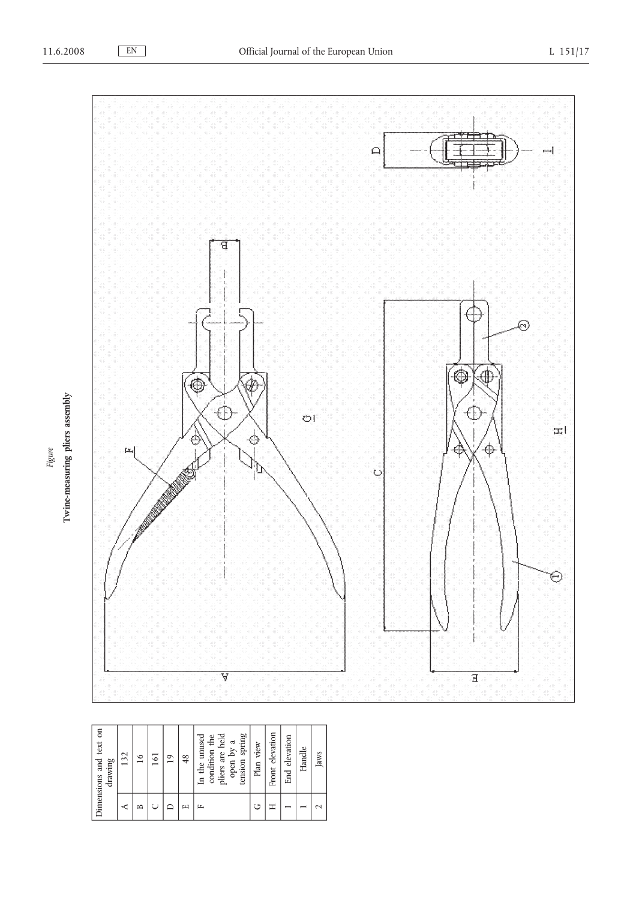Figure



| g<br>text<br>drawing<br>Dimensions and | 32<br>$\overline{ }$ | ∘<br>Ţ | 5<br>- | $\overline{1}$ | $\frac{8}{3}$ | <i>spring</i><br><u>nel</u><br>unused<br>ă<br>ಡ<br>ð<br>condition<br>pliers are<br>tension<br>open<br>$\ln \theta$ | view<br>Plan | elevation<br>Front | elevation<br>End | Handle | Jaws               |
|----------------------------------------|----------------------|--------|--------|----------------|---------------|--------------------------------------------------------------------------------------------------------------------|--------------|--------------------|------------------|--------|--------------------|
|                                        | ⋖                    | ≏      |        |                | ш             | щ                                                                                                                  | ت            | Ξ                  |                  |        | $\scriptstyle\sim$ |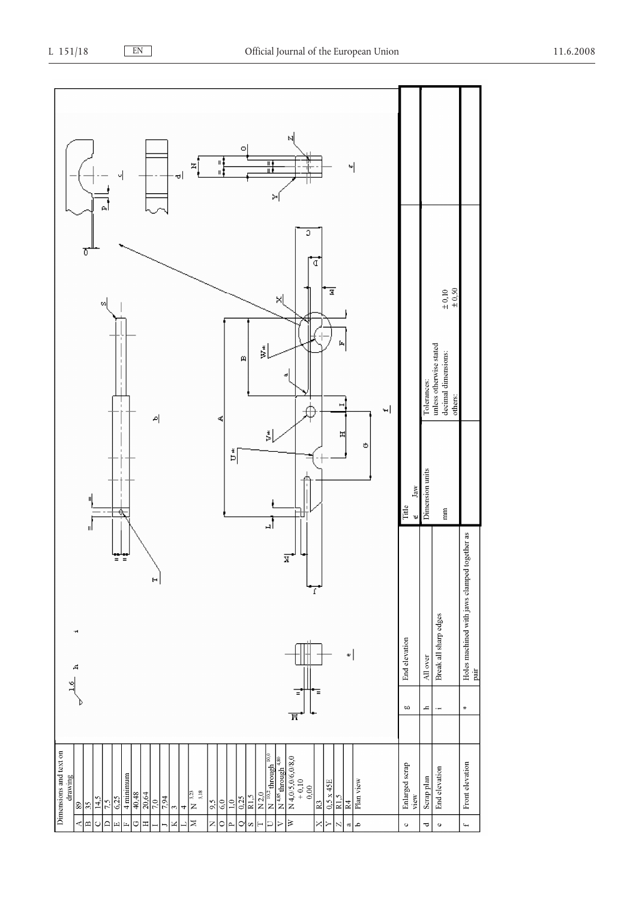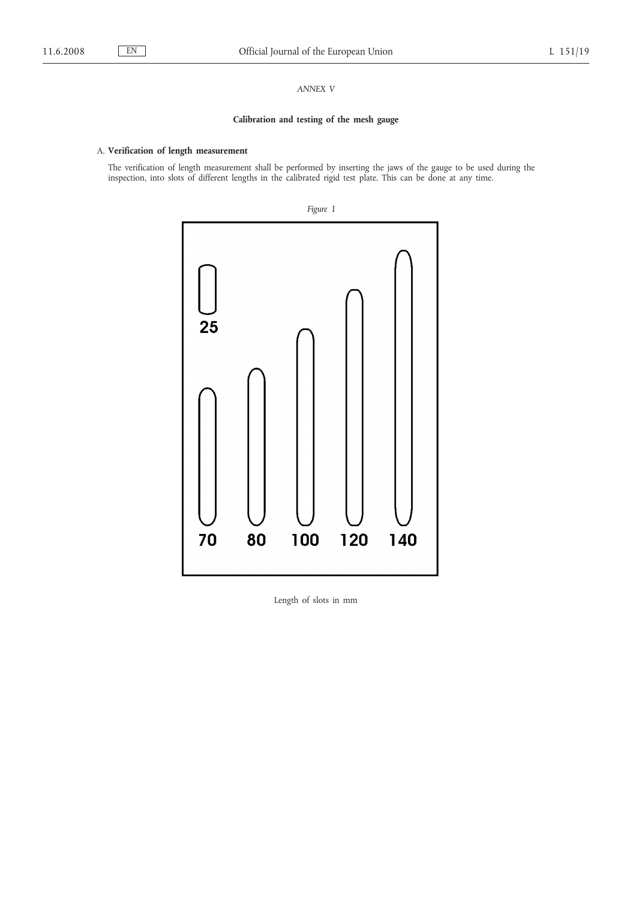# *ANNEX V*

# **Calibration and testing of the mesh gauge**

# A. **Verification of length measurement**

The verification of length measurement shall be performed by inserting the jaws of the gauge to be used during the inspection, into slots of different lengths in the calibrated rigid test plate. This can be done at any time.



Length of slots in mm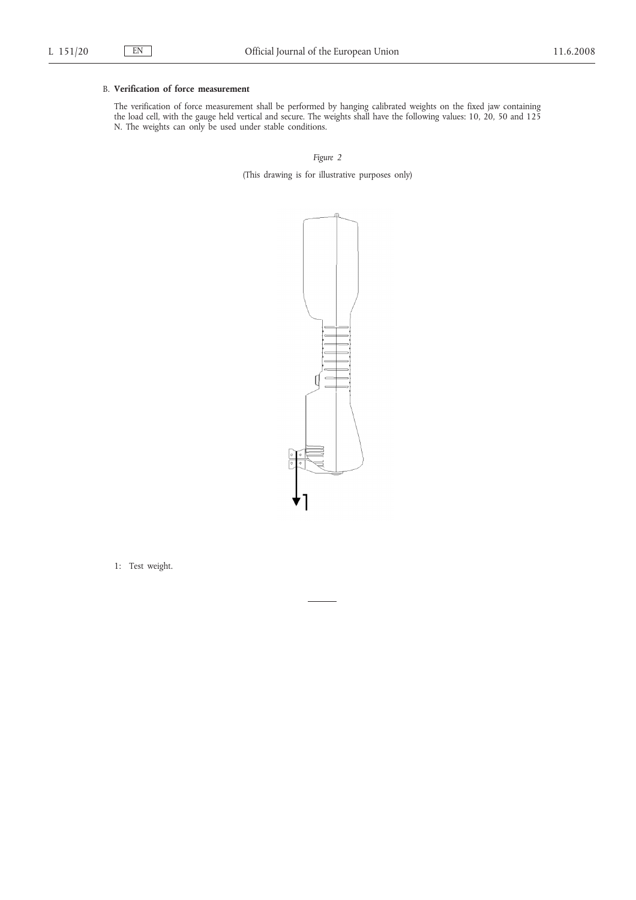# B. **Verification of force measurement**

The verification of force measurement shall be performed by hanging calibrated weights on the fixed jaw containing the load cell, with the gauge held vertical and secure. The weights shall have the following values: 10, 20, 50 and 125 N. The weights can only be used under stable conditions.

*Figure 2*

(This drawing is for illustrative purposes only)



1: Test weight.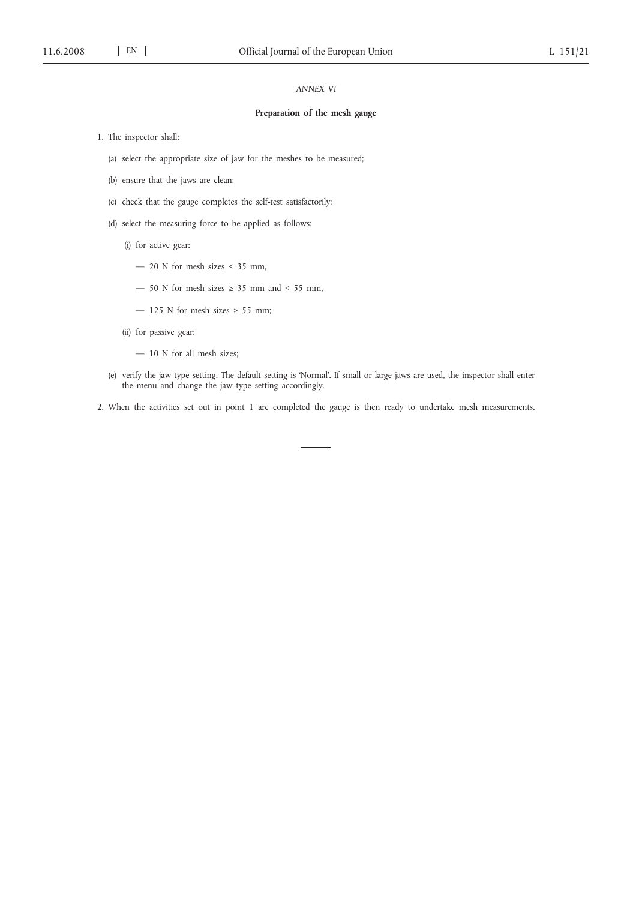# *ANNEX VI*

#### **Preparation of the mesh gauge**

- 1. The inspector shall:
	- (a) select the appropriate size of jaw for the meshes to be measured;
	- (b) ensure that the jaws are clean;
	- (c) check that the gauge completes the self-test satisfactorily;
	- (d) select the measuring force to be applied as follows:
		- (i) for active gear:
			- 20 N for mesh sizes < 35 mm,
			- 50 N for mesh sizes  $\geq$  35 mm and < 55 mm,
			- 125 N for mesh sizes  $\geq$  55 mm;
		- (ii) for passive gear:
			- 10 N for all mesh sizes;
	- (e) verify the jaw type setting. The default setting is 'Normal'. If small or large jaws are used, the inspector shall enter the menu and change the jaw type setting accordingly.
- 2. When the activities set out in point 1 are completed the gauge is then ready to undertake mesh measurements.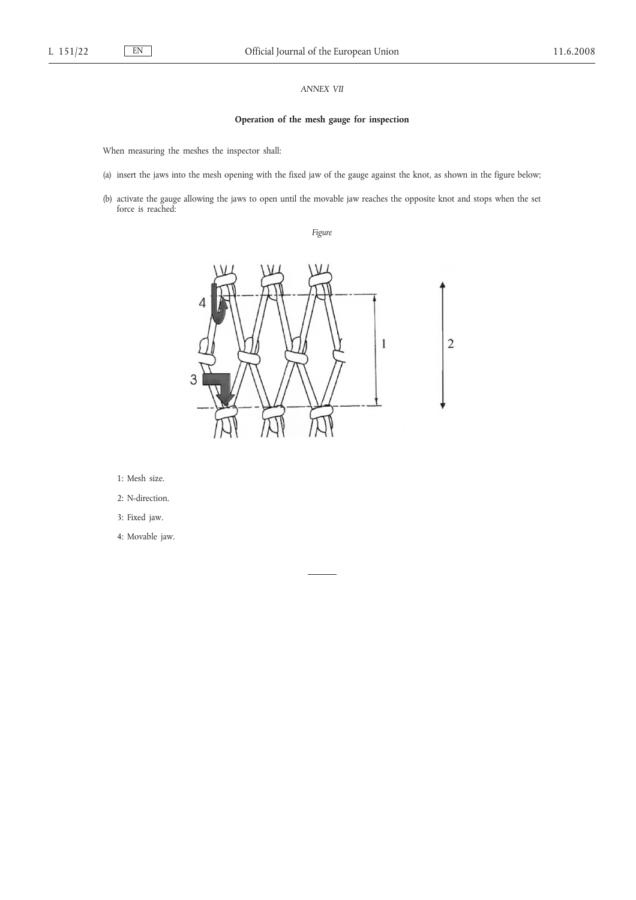# *ANNEX VII*

# **Operation of the mesh gauge for inspection**

When measuring the meshes the inspector shall:

- (a) insert the jaws into the mesh opening with the fixed jaw of the gauge against the knot, as shown in the figure below;
- (b) activate the gauge allowing the jaws to open until the movable jaw reaches the opposite knot and stops when the set force is reached:

*Figure*



1: Mesh size.

- 2: N-direction.
- 3: Fixed jaw.

4: Movable jaw.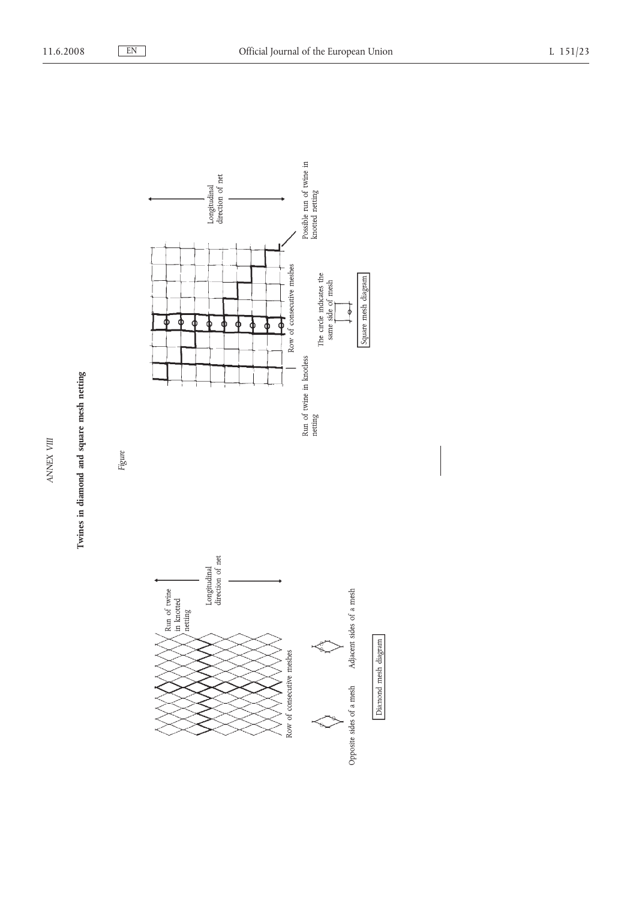



*ANNEX VIII*

 $\Lambda \text{NNEX}$  VIII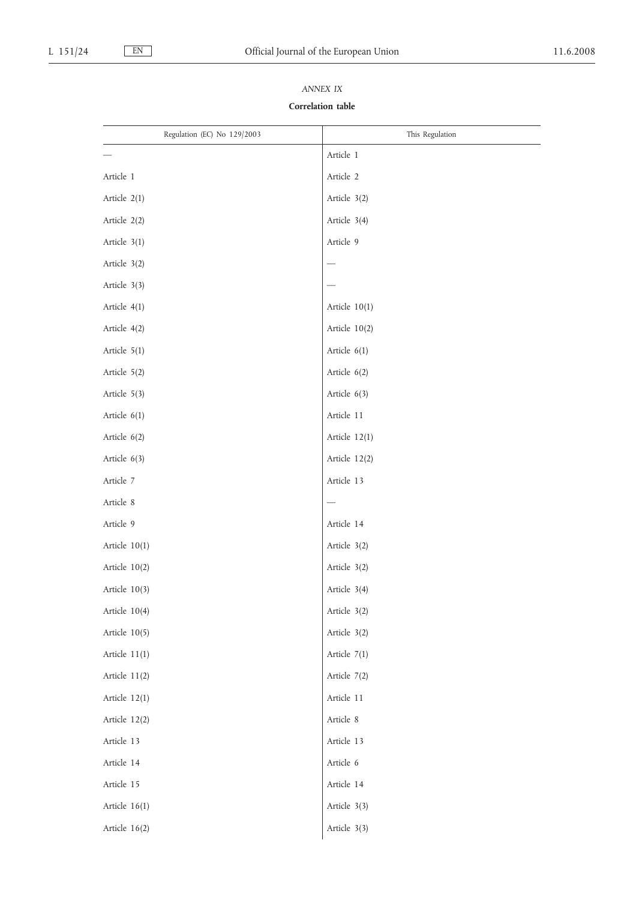# Regulation (EC) No 129/2003 This Regulation Article 1 Article 1 Article 2 Article 2(1) Article 3(2) Article 2(2) Article 3(4) Article 3(1) Article 9 Article  $3(2)$ Article 3(3) Article 4(1) Article 10(1) Article 4(2) Article 10(2) Article 5(1) Article 6(1) Article 5(2) Article 6(2) Article 5(3) Article 6(3) Article 6(1) Article 11 Article 6(2) Article 12(1) Article 6(3) Article 12(2) Article 7 Article 13 Article 8 Article 9 Article 14 Article 10(1) Article 3(2) Article 10(2) Article 3(2) Article 10(3) Article 3(4) Article 10(4) Article 3(2) Article 10(5) Article 3(2) Article 11(1) Article 7(1) Article 11(2) Article 7(2) Article 12(1) Article 11 Article 12(2) Article 8 Article 13 Article 13 Article 14 Article 6 Article 15 Article 14 Article 16(1) Article 3(3) Article 16(2) Article 3(3)

# *ANNEX IX* **Correlation table**